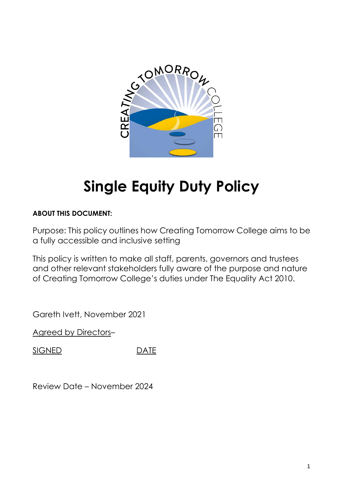

# **Single Equity Duty Policy**

# **ABOUT THIS DOCUMENT:**

Purpose: This policy outlines how Creating Tomorrow College aims to be a fully accessible and inclusive setting

This policy is written to make all staff, parents, governors and trustees and other relevant stakeholders fully aware of the purpose and nature of Creating Tomorrow College's duties under The Equality Act 2010.

Gareth Ivett, November 2021

Agreed by Directors–

SIGNED DATE

Review Date – November 2024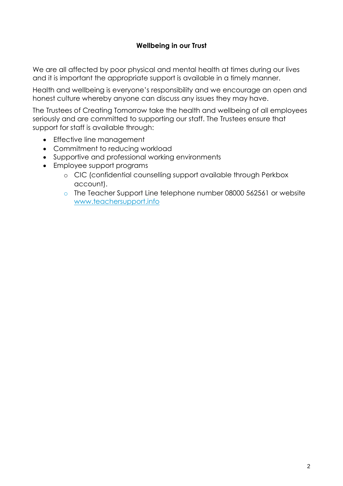## **Wellbeing in our Trust**

We are all affected by poor physical and mental health at times during our lives and it is important the appropriate support is available in a timely manner.

Health and wellbeing is everyone's responsibility and we encourage an open and honest culture whereby anyone can discuss any issues they may have.

The Trustees of Creating Tomorrow take the health and wellbeing of all employees seriously and are committed to supporting our staff. The Trustees ensure that support for staff is available through:

- Effective line management
- Commitment to reducing workload
- Supportive and professional working environments
- Employee support programs
	- o CIC (confidential counselling support available through Perkbox account).
	- o The Teacher Support Line telephone number 08000 562561 or website [www.teachersupport.info](http://www.teachersupport.info/)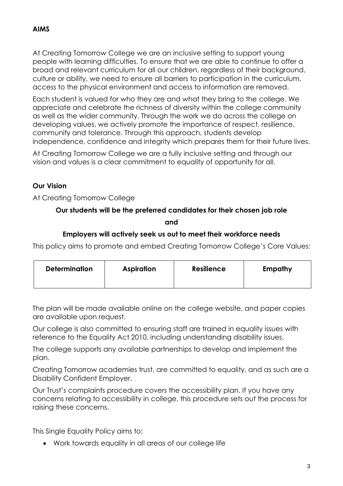# **AIMS**

At Creating Tomorrow College we are an inclusive setting to support young people with learning difficulties. To ensure that we are able to continue to offer a broad and relevant curriculum for all our children, regardless of their background, culture or ability, we need to ensure all barriers to participation in the curriculum, access to the physical environment and access to information are removed.

Each student is valued for who they are and what they bring to the college. We appreciate and celebrate the richness of diversity within the college community as well as the wider community. Through the work we do across the college on developing values, we actively promote the importance of respect, resilience, community and tolerance. Through this approach, students develop independence, confidence and integrity which prepares them for their future lives.

At Creating Tomorrow College we are a fully inclusive setting and through our vision and values is a clear commitment to equality of opportunity for all.

# **Our Vision**

At Creating Tomorrow College

## **Our students will be the preferred candidates for their chosen job role**

**and**

#### **Employers will actively seek us out to meet their workforce needs**

This policy aims to promote and embed Creating Tomorrow College's Core Values:

| <b>Determination</b> | Aspiration | <b>Resilience</b> | <b>Empathy</b> |
|----------------------|------------|-------------------|----------------|
|                      |            |                   |                |

The plan will be made available online on the college website, and paper copies are available upon request.

Our college is also committed to ensuring staff are trained in equality issues with reference to the Equality Act 2010, including understanding disability issues.

The college supports any available partnerships to develop and implement the plan.

Creating Tomorrow academies trust, are committed to equality, and as such are a Disability Confident Employer.

Our Trust's complaints procedure covers the accessibility plan. If you have any concerns relating to accessibility in college, this procedure sets out the process for raising these concerns.

This Single Equality Policy aims to:

Work towards equality in all areas of our college life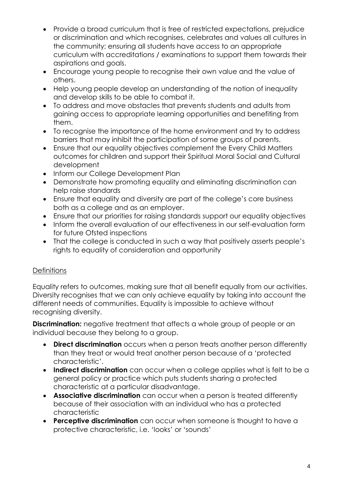- Provide a broad curriculum that is free of restricted expectations, prejudice or discrimination and which recognises, celebrates and values all cultures in the community; ensuring all students have access to an appropriate curriculum with accreditations / examinations to support them towards their aspirations and goals.
- Encourage young people to recognise their own value and the value of others.
- Help young people develop an understanding of the notion of inequality and develop skills to be able to combat it.
- To address and move obstacles that prevents students and adults from gaining access to appropriate learning opportunities and benefiting from them.
- To recognise the importance of the home environment and try to address barriers that may inhibit the participation of some groups of parents.
- Ensure that our equality objectives complement the Every Child Matters outcomes for children and support their Spiritual Moral Social and Cultural development
- Inform our College Development Plan
- Demonstrate how promoting equality and eliminating discrimination can help raise standards
- Ensure that equality and diversity are part of the college's core business both as a college and as an employer.
- Ensure that our priorities for raising standards support our equality objectives
- Inform the overall evaluation of our effectiveness in our self-evaluation form for future Ofsted inspections
- That the college is conducted in such a way that positively asserts people's rights to equality of consideration and opportunity

# **Definitions**

Equality refers to outcomes, making sure that all benefit equally from our activities. Diversity recognises that we can only achieve equality by taking into account the different needs of communities. Equality is impossible to achieve without recognising diversity.

**Discrimination:** negative treatment that affects a whole group of people or an individual because they belong to a group.

- **Direct discrimination** occurs when a person treats another person differently than they treat or would treat another person because of a 'protected characteristic'.
- **Indirect discrimination** can occur when a college applies what is felt to be a general policy or practice which puts students sharing a protected characteristic at a particular disadvantage.
- **Associative discrimination** can occur when a person is treated differently because of their association with an individual who has a protected characteristic
- **Perceptive discrimination** can occur when someone is thought to have a protective characteristic, i.e. 'looks' or 'sounds'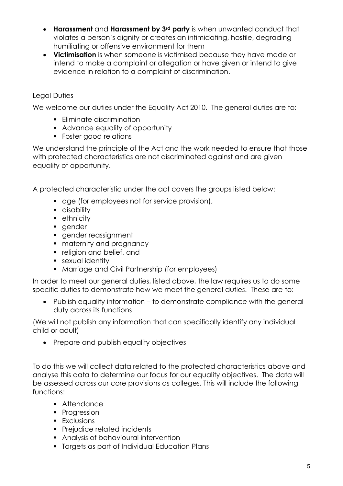- **Harassment** and **Harassment by 3rd party** is when unwanted conduct that violates a person's dignity or creates an intimidating, hostile, degrading humiliating or offensive environment for them
- **Victimisation** is when someone is victimised because they have made or intend to make a complaint or allegation or have given or intend to give evidence in relation to a complaint of discrimination.

# Legal Duties

We welcome our duties under the Equality Act 2010. The general duties are to:

- **Eliminate discrimination**
- Advance equality of opportunity
- Foster good relations

We understand the principle of the Act and the work needed to ensure that those with protected characteristics are not discriminated against and are given equality of opportunity.

A protected characteristic under the act covers the groups listed below:

- **quareneleral** age (for employees not for service provision),
- **disability**
- **•** ethnicity
- gender
- gender reassignment
- **naternity and pregnancy**
- **religion and belief, and**
- **sexual identity**
- **Marriage and Civil Partnership (for employees)**

In order to meet our general duties, listed above, the law requires us to do some specific duties to demonstrate how we meet the general duties. These are to:

 Publish equality information – to demonstrate compliance with the general duty across its functions

(We will not publish any information that can specifically identify any individual child or adult)

• Prepare and publish equality objectives

To do this we will collect data related to the protected characteristics above and analyse this data to determine our focus for our equality objectives. The data will be assessed across our core provisions as colleges. This will include the following functions:

- **Attendance**
- Progression
- **Exclusions**
- **Prejudice related incidents**
- **Analysis of behavioural intervention**
- **Targets as part of Individual Education Plans**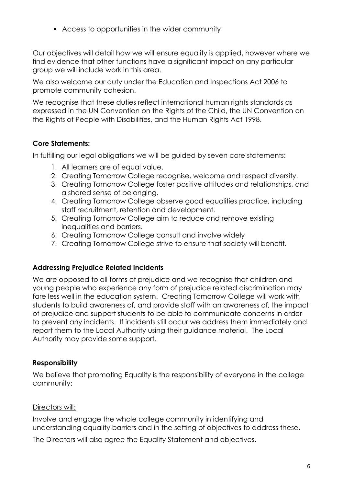Access to opportunities in the wider community

Our objectives will detail how we will ensure equality is applied, however where we find evidence that other functions have a significant impact on any particular group we will include work in this area.

We also welcome our duty under the Education and Inspections Act 2006 to promote community cohesion.

We recognise that these duties reflect international human rights standards as expressed in the UN Convention on the Rights of the Child, the UN Convention on the Rights of People with Disabilities, and the Human Rights Act 1998.

## **Core Statements:**

In fulfilling our legal obligations we will be guided by seven core statements:

- 1. All learners are of equal value.
- 2. Creating Tomorrow College recognise, welcome and respect diversity.
- 3. Creating Tomorrow College foster positive attitudes and relationships, and a shared sense of belonging.
- 4. Creating Tomorrow College observe good equalities practice, including staff recruitment, retention and development.
- 5. Creating Tomorrow College aim to reduce and remove existing inequalities and barriers.
- 6. Creating Tomorrow College consult and involve widely
- 7. Creating Tomorrow College strive to ensure that society will benefit.

#### **Addressing Prejudice Related Incidents**

We are opposed to all forms of prejudice and we recognise that children and young people who experience any form of prejudice related discrimination may fare less well in the education system. Creating Tomorrow College will work with students to build awareness of, and provide staff with an awareness of, the impact of prejudice and support students to be able to communicate concerns in order to prevent any incidents. If incidents still occur we address them immediately and report them to the Local Authority using their guidance material. The Local Authority may provide some support.

#### **Responsibility**

We believe that promoting Equality is the responsibility of everyone in the college community:

## Directors will:

Involve and engage the whole college community in identifying and understanding equality barriers and in the setting of objectives to address these.

The Directors will also agree the Equality Statement and objectives.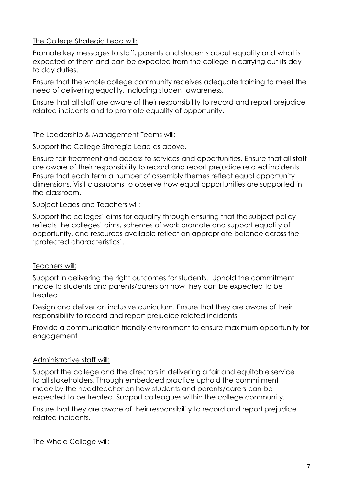### The College Strategic Lead will:

Promote key messages to staff, parents and students about equality and what is expected of them and can be expected from the college in carrying out its day to day duties.

Ensure that the whole college community receives adequate training to meet the need of delivering equality, including student awareness.

Ensure that all staff are aware of their responsibility to record and report prejudice related incidents and to promote equality of opportunity.

#### The Leadership & Management Teams will:

Support the College Strategic Lead as above.

Ensure fair treatment and access to services and opportunities. Ensure that all staff are aware of their responsibility to record and report prejudice related incidents. Ensure that each term a number of assembly themes reflect equal opportunity dimensions. Visit classrooms to observe how equal opportunities are supported in the classroom.

#### Subject Leads and Teachers will:

Support the colleges' aims for equality through ensuring that the subject policy reflects the colleges' aims, schemes of work promote and support equality of opportunity, and resources available reflect an appropriate balance across the 'protected characteristics'.

## Teachers will:

Support in delivering the right outcomes for students. Uphold the commitment made to students and parents/carers on how they can be expected to be treated.

Design and deliver an inclusive curriculum. Ensure that they are aware of their responsibility to record and report prejudice related incidents.

Provide a communication friendly environment to ensure maximum opportunity for engagement

## Administrative staff will:

Support the college and the directors in delivering a fair and equitable service to all stakeholders. Through embedded practice uphold the commitment made by the headteacher on how students and parents/carers can be expected to be treated. Support colleagues within the college community.

Ensure that they are aware of their responsibility to record and report prejudice related incidents.

The Whole College will: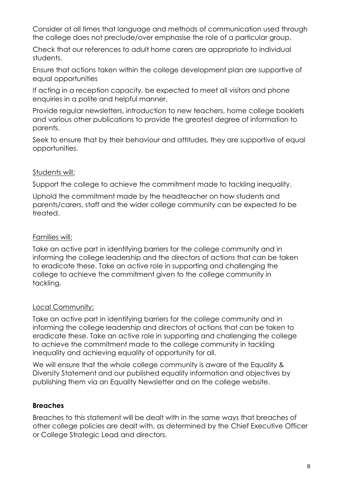Consider at all times that language and methods of communication used through the college does not preclude/over emphasise the role of a particular group.

Check that our references to adult home carers are appropriate to individual students.

Ensure that actions taken within the college development plan are supportive of equal opportunities

If acting in a reception capacity, be expected to meet all visitors and phone enquiries in a polite and helpful manner.

Provide regular newsletters, introduction to new teachers, home college booklets and various other publications to provide the greatest degree of information to parents.

Seek to ensure that by their behaviour and attitudes, they are supportive of equal opportunities.

## Students will:

Support the college to achieve the commitment made to tackling inequality.

Uphold the commitment made by the headteacher on how students and parents/carers, staff and the wider college community can be expected to be treated.

## Families will:

Take an active part in identifying barriers for the college community and in informing the college leadership and the directors of actions that can be taken to eradicate these. Take an active role in supporting and challenging the college to achieve the commitment given to the college community in tackling.

## Local Community:

Take an active part in identifying barriers for the college community and in informing the college leadership and directors of actions that can be taken to eradicate these. Take an active role in supporting and challenging the college to achieve the commitment made to the college community in tackling inequality and achieving equality of opportunity for all.

We will ensure that the whole college community is aware of the Equality & Diversity Statement and our published equality information and objectives by publishing them via an Equality Newsletter and on the college website.

# **Breaches**

Breaches to this statement will be dealt with in the same ways that breaches of other college policies are dealt with, as determined by the Chief Executive Officer or College Strategic Lead and directors.